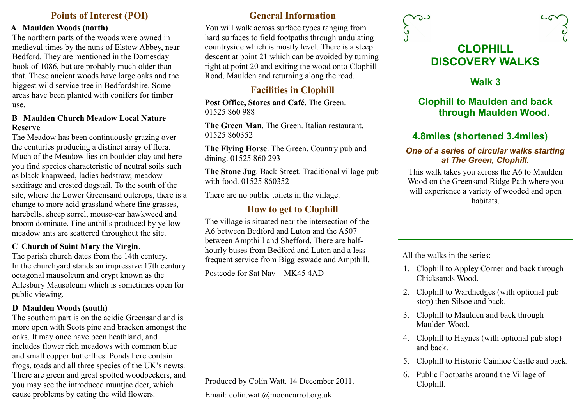### **Points of Interest (POI)**

#### **A Maulden Woods (north)**

The northern parts of the woods were owned in medieval times by the nuns of Elstow Abbey, near Bedford. They are mentioned in the Domesday book of 1086, but are probably much older than that. These ancient woods have large oaks and the biggest wild service tree in Bedfordshire. Some areas have been planted with conifers for timber use.

#### **B Maulden Church Meadow Local Nature Reserve**

The Meadow has been continuously grazing over the centuries producing a distinct array of flora. Much of the Meadow lies on boulder clay and here you find species characteristic of neutral soils such as black knapweed, ladies bedstraw, meadow saxifrage and crested dogstail. To the south of the site, where the Lower Greensand outcrops, there is a change to more acid grassland where fine grasses, harebells, sheep sorrel, mouse-ear hawkweed and broom dominate. Fine anthills produced by yellow meadow ants are scattered throughout the site.

#### **C Church of Saint Mary the Virgin**.

The parish church dates from the 14th century. In the churchyard stands an impressive 17th century octagonal mausoleum and crypt known as the Ailesbury Mausoleum which is sometimes open for public viewing.

### **D Maulden Woods (south)**

The southern part is on the acidic Greensand and is more open with Scots pine and bracken amongst the oaks. It may once have been heathland, and includes flower rich meadows with common blue and small copper butterflies. Ponds here contain frogs, toads and all three species of the UK's newts. There are green and great spotted woodpeckers, and you may see the introduced muntjac deer, which cause problems by eating the wild flowers.

### **General Information**

You will walk across surface types ranging from hard surfaces to field footpaths through undulating countryside which is mostly level. There is a steep descent at point 21 which can be avoided by turning right at point 20 and exiting the wood onto Clophill Road, Maulden and returning along the road.

## **Facilities in Clophill**

**Post Office, Stores and Café**. The Green. 01525 860 988

**The Green Man**. The Green. Italian restaurant. 01525 860352

**The Flying Horse**. The Green. Country pub and dining. 01525 860 293

**The Stone Jug**. Back Street. Traditional village pub with food. 01525 860352

There are no public toilets in the village.

## **How to get to Clophill**

The village is situated near the intersection of the A6 between Bedford and Luton and the A507 between Ampthill and Shefford. There are halfhourly buses from Bedford and Luton and a less frequent service from Biggleswade and Ampthill.

Postcode for Sat Nav – MK45 4AD

Produced by Colin Watt. 14 December 2011. Email: colin.watt@mooncarrot.org.uk



**Walk 3**

## **Clophill to Maulden and back through Maulden Wood.**

# **4.8miles (shortened 3.4miles)**

### *One of a series of circular walks starting at The Green, Clophill.*

This walk takes you across the A6 to Maulden Wood on the Greensand Ridge Path where you will experience a variety of wooded and open habitats.

All the walks in the series:-

- 1. Clophill to Appley Corner and back through Chicksands Wood.
- 2. Clophill to Wardhedges (with optional pub stop) then Silsoe and back.
- 3. Clophill to Maulden and back through Maulden Wood.
- 4. Clophill to Haynes (with optional pub stop) and back.
- 5. Clophill to Historic Cainhoe Castle and back.
- 6. Public Footpaths around the Village of Clophill.